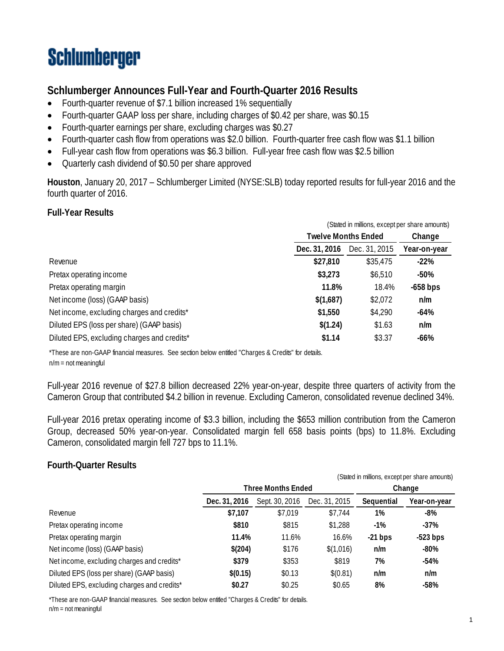# **Schlumberger**

### **Schlumberger Announces Full-Year and Fourth-Quarter 2016 Results**

- Fourth-quarter revenue of \$7.1 billion increased 1% sequentially
- Fourth-quarter GAAP loss per share, including charges of \$0.42 per share, was \$0.15
- Fourth-quarter earnings per share, excluding charges was \$0.27
- Fourth-quarter cash flow from operations was \$2.0 billion. Fourth-quarter free cash flow was \$1.1 billion
- Full-year cash flow from operations was \$6.3 billion. Full-year free cash flow was \$2.5 billion
- Quarterly cash dividend of \$0.50 per share approved

**Houston**, January 20, 2017 – Schlumberger Limited (NYSE:SLB) today reported results for full-year 2016 and the fourth quarter of 2016.

#### **Full-Year Results**

|                                             |                            | (Stated in millions, except per share amounts) |              |  |
|---------------------------------------------|----------------------------|------------------------------------------------|--------------|--|
|                                             | <b>Twelve Months Ended</b> | Change                                         |              |  |
|                                             | Dec. 31, 2016              | Dec. 31, 2015                                  | Year-on-year |  |
| Revenue                                     | \$27,810                   | \$35,475                                       | $-22\%$      |  |
| Pretax operating income                     | \$3,273                    | \$6,510                                        | -50%         |  |
| Pretax operating margin                     | 11.8%                      | 18.4%                                          | $-658$ bps   |  |
| Net income (loss) (GAAP basis)              | \$(1,687)                  | \$2,072                                        | n/m          |  |
| Net income, excluding charges and credits*  | \$1,550                    | \$4,290                                        | $-64%$       |  |
| Diluted EPS (loss per share) (GAAP basis)   | \$(1.24)                   | \$1.63                                         | n/m          |  |
| Diluted EPS, excluding charges and credits* | \$1.14                     | \$3.37                                         | $-66%$       |  |

\*These are non-GAAP financial measures. See section below entitled "Charges & Credits" for details. n/m = not meaningful

Full-year 2016 revenue of \$27.8 billion decreased 22% year-on-year, despite three quarters of activity from the Cameron Group that contributed \$4.2 billion in revenue. Excluding Cameron, consolidated revenue declined 34%.

Full-year 2016 pretax operating income of \$3.3 billion, including the \$653 million contribution from the Cameron Group, decreased 50% year-on-year. Consolidated margin fell 658 basis points (bps) to 11.8%. Excluding Cameron, consolidated margin fell 727 bps to 11.1%.

#### **Fourth-Quarter Results**

|                                             | (Stated in millions, except per share amounts) |                           |               |            |              |
|---------------------------------------------|------------------------------------------------|---------------------------|---------------|------------|--------------|
|                                             |                                                | <b>Three Months Ended</b> |               | Change     |              |
|                                             | Dec. 31, 2016                                  | Sept. 30, 2016            | Dec. 31, 2015 | Sequential | Year-on-year |
| Revenue                                     | \$7,107                                        | \$7,019                   | \$7.744       | 1%         | $-8%$        |
| Pretax operating income                     | \$810                                          | \$815                     | \$1,288       | $-1\%$     | $-37%$       |
| Pretax operating margin                     | 11.4%                                          | 11.6%                     | 16.6%         | $-21$ bps  | $-523$ bps   |
| Net income (loss) (GAAP basis)              | \$(204)                                        | \$176                     | \$(1,016)     | n/m        | $-80%$       |
| Net income, excluding charges and credits*  | \$379                                          | \$353                     | \$819         | 7%         | $-54%$       |
| Diluted EPS (loss per share) (GAAP basis)   | \$(0.15)                                       | \$0.13                    | \$(0.81)      | n/m        | n/m          |
| Diluted EPS, excluding charges and credits* | \$0.27                                         | \$0.25                    | \$0.65        | 8%         | $-58%$       |

\*These are non-GAAP financial measures. See section below entitled "Charges & Credits" for details. n/m = not meaningful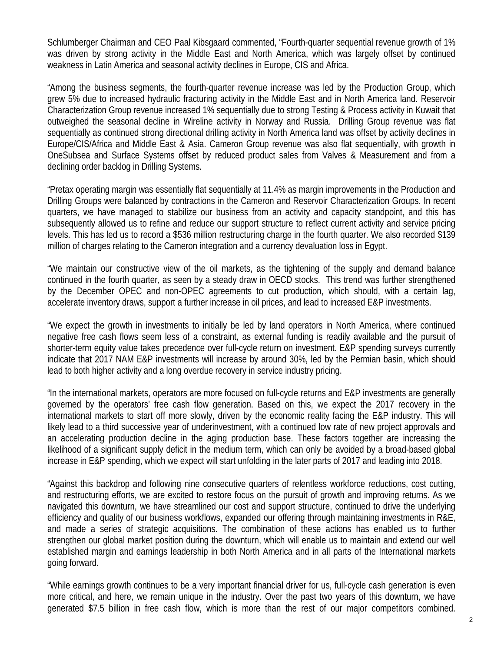Schlumberger Chairman and CEO Paal Kibsgaard commented, "Fourth-quarter sequential revenue growth of 1% was driven by strong activity in the Middle East and North America, which was largely offset by continued weakness in Latin America and seasonal activity declines in Europe, CIS and Africa.

"Among the business segments, the fourth-quarter revenue increase was led by the Production Group, which grew 5% due to increased hydraulic fracturing activity in the Middle East and in North America land. Reservoir Characterization Group revenue increased 1% sequentially due to strong Testing & Process activity in Kuwait that outweighed the seasonal decline in Wireline activity in Norway and Russia. Drilling Group revenue was flat sequentially as continued strong directional drilling activity in North America land was offset by activity declines in Europe/CIS/Africa and Middle East & Asia. Cameron Group revenue was also flat sequentially, with growth in OneSubsea and Surface Systems offset by reduced product sales from Valves & Measurement and from a declining order backlog in Drilling Systems.

"Pretax operating margin was essentially flat sequentially at 11.4% as margin improvements in the Production and Drilling Groups were balanced by contractions in the Cameron and Reservoir Characterization Groups. In recent quarters, we have managed to stabilize our business from an activity and capacity standpoint, and this has subsequently allowed us to refine and reduce our support structure to reflect current activity and service pricing levels. This has led us to record a \$536 million restructuring charge in the fourth quarter. We also recorded \$139 million of charges relating to the Cameron integration and a currency devaluation loss in Egypt.

"We maintain our constructive view of the oil markets, as the tightening of the supply and demand balance continued in the fourth quarter, as seen by a steady draw in OECD stocks. This trend was further strengthened by the December OPEC and non-OPEC agreements to cut production, which should, with a certain lag, accelerate inventory draws, support a further increase in oil prices, and lead to increased E&P investments.

"We expect the growth in investments to initially be led by land operators in North America, where continued negative free cash flows seem less of a constraint, as external funding is readily available and the pursuit of shorter-term equity value takes precedence over full-cycle return on investment. E&P spending surveys currently indicate that 2017 NAM E&P investments will increase by around 30%, led by the Permian basin, which should lead to both higher activity and a long overdue recovery in service industry pricing.

"In the international markets, operators are more focused on full-cycle returns and E&P investments are generally governed by the operators' free cash flow generation. Based on this, we expect the 2017 recovery in the international markets to start off more slowly, driven by the economic reality facing the E&P industry. This will likely lead to a third successive year of underinvestment, with a continued low rate of new project approvals and an accelerating production decline in the aging production base. These factors together are increasing the likelihood of a significant supply deficit in the medium term, which can only be avoided by a broad-based global increase in E&P spending, which we expect will start unfolding in the later parts of 2017 and leading into 2018.

"Against this backdrop and following nine consecutive quarters of relentless workforce reductions, cost cutting, and restructuring efforts, we are excited to restore focus on the pursuit of growth and improving returns. As we navigated this downturn, we have streamlined our cost and support structure, continued to drive the underlying efficiency and quality of our business workflows, expanded our offering through maintaining investments in R&E, and made a series of strategic acquisitions. The combination of these actions has enabled us to further strengthen our global market position during the downturn, which will enable us to maintain and extend our well established margin and earnings leadership in both North America and in all parts of the International markets going forward.

"While earnings growth continues to be a very important financial driver for us, full-cycle cash generation is even more critical, and here, we remain unique in the industry. Over the past two years of this downturn, we have generated \$7.5 billion in free cash flow, which is more than the rest of our major competitors combined.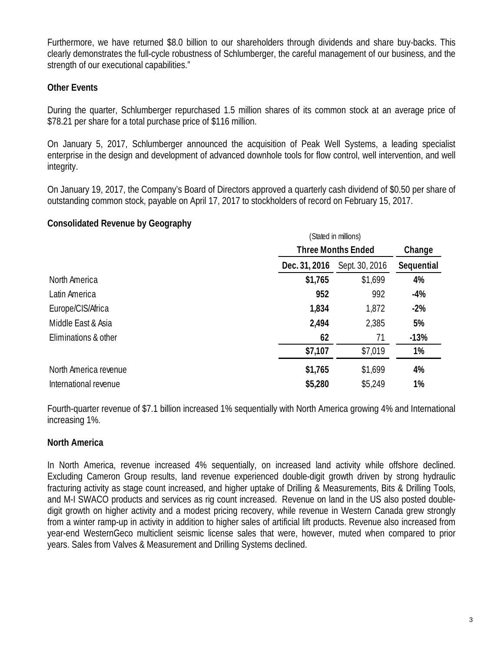Furthermore, we have returned \$8.0 billion to our shareholders through dividends and share buy-backs. This clearly demonstrates the full-cycle robustness of Schlumberger, the careful management of our business, and the strength of our executional capabilities."

#### **Other Events**

During the quarter, Schlumberger repurchased 1.5 million shares of its common stock at an average price of \$78.21 per share for a total purchase price of \$116 million.

On January 5, 2017, Schlumberger announced the acquisition of Peak Well Systems, a leading specialist enterprise in the design and development of advanced downhole tools for flow control, well intervention, and well integrity.

On January 19, 2017, the Company's Board of Directors approved a quarterly cash dividend of \$0.50 per share of outstanding common stock, payable on April 17, 2017 to stockholders of record on February 15, 2017.

#### **Consolidated Revenue by Geography**

|                       | (Stated in millions)      |                |            |  |
|-----------------------|---------------------------|----------------|------------|--|
|                       | <b>Three Months Ended</b> | Change         |            |  |
|                       | Dec. 31, 2016             | Sept. 30, 2016 | Sequential |  |
| North America         | \$1,765                   | \$1,699        | 4%         |  |
| Latin America         | 952                       | 992            | $-4%$      |  |
| Europe/CIS/Africa     | 1,834                     | 1,872          | $-2%$      |  |
| Middle East & Asia    | 2,494                     | 2,385          | 5%         |  |
| Eliminations & other  | 62                        | 71             | $-13%$     |  |
|                       | \$7,107                   | \$7,019        | 1%         |  |
| North America revenue | \$1,765                   | \$1,699        | 4%         |  |
| International revenue | \$5,280                   | \$5,249        | 1%         |  |

Fourth-quarter revenue of \$7.1 billion increased 1% sequentially with North America growing 4% and International increasing 1%.

#### **North America**

In North America, revenue increased 4% sequentially, on increased land activity while offshore declined. Excluding Cameron Group results, land revenue experienced double-digit growth driven by strong hydraulic fracturing activity as stage count increased, and higher uptake of Drilling & Measurements, Bits & Drilling Tools, and M-I SWACO products and services as rig count increased. Revenue on land in the US also posted doubledigit growth on higher activity and a modest pricing recovery, while revenue in Western Canada grew strongly from a winter ramp-up in activity in addition to higher sales of artificial lift products. Revenue also increased from year-end WesternGeco multiclient seismic license sales that were, however, muted when compared to prior years. Sales from Valves & Measurement and Drilling Systems declined.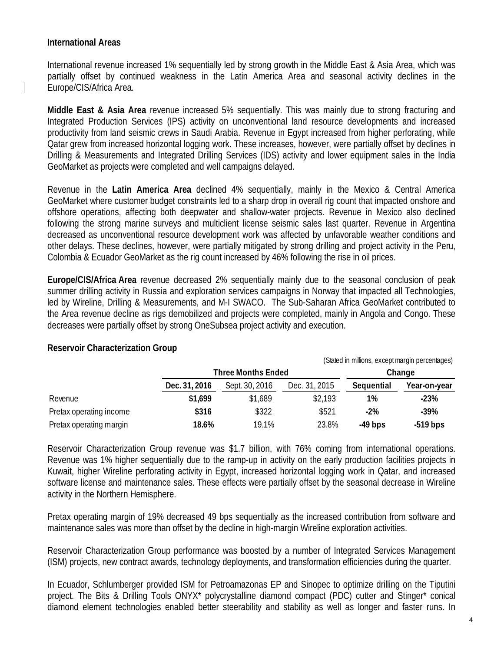#### **International Areas**

International revenue increased 1% sequentially led by strong growth in the Middle East & Asia Area, which was partially offset by continued weakness in the Latin America Area and seasonal activity declines in the Europe/CIS/Africa Area.

**Middle East & Asia Area** revenue increased 5% sequentially. This was mainly due to strong fracturing and Integrated Production Services (IPS) activity on unconventional land resource developments and increased productivity from land seismic crews in Saudi Arabia. Revenue in Egypt increased from higher perforating, while Qatar grew from increased horizontal logging work. These increases, however, were partially offset by declines in Drilling & Measurements and Integrated Drilling Services (IDS) activity and lower equipment sales in the India GeoMarket as projects were completed and well campaigns delayed.

Revenue in the **Latin America Area** declined 4% sequentially, mainly in the Mexico & Central America GeoMarket where customer budget constraints led to a sharp drop in overall rig count that impacted onshore and offshore operations, affecting both deepwater and shallow-water projects. Revenue in Mexico also declined following the strong marine surveys and multiclient license seismic sales last quarter. Revenue in Argentina decreased as unconventional resource development work was affected by unfavorable weather conditions and other delays. These declines, however, were partially mitigated by strong drilling and project activity in the Peru, Colombia & Ecuador GeoMarket as the rig count increased by 46% following the rise in oil prices.

**Europe/CIS/Africa Area** revenue decreased 2% sequentially mainly due to the seasonal conclusion of peak summer drilling activity in Russia and exploration services campaigns in Norway that impacted all Technologies, led by Wireline, Drilling & Measurements, and M-I SWACO. The Sub-Saharan Africa GeoMarket contributed to the Area revenue decline as rigs demobilized and projects were completed, mainly in Angola and Congo. These decreases were partially offset by strong OneSubsea project activity and execution.

|                         | (Stated in millions, except margin percentages) |                           |               |            |              |
|-------------------------|-------------------------------------------------|---------------------------|---------------|------------|--------------|
|                         |                                                 | <b>Three Months Ended</b> |               |            | Change       |
|                         | Dec. 31, 2016                                   | Sept. 30, 2016            | Dec. 31, 2015 | Sequential | Year-on-year |
| Revenue                 | \$1,699                                         | \$1,689                   | \$2,193       | 1%         | $-23%$       |
| Pretax operating income | \$316                                           | \$322                     | \$521         | $-2%$      | $-39%$       |
| Pretax operating margin | 18.6%                                           | 19.1%                     | 23.8%         | $-49$ bps  | $-519$ bps   |

#### **Reservoir Characterization Group**

Reservoir Characterization Group revenue was \$1.7 billion, with 76% coming from international operations. Revenue was 1% higher sequentially due to the ramp-up in activity on the early production facilities projects in Kuwait, higher Wireline perforating activity in Egypt, increased horizontal logging work in Qatar, and increased software license and maintenance sales. These effects were partially offset by the seasonal decrease in Wireline activity in the Northern Hemisphere.

Pretax operating margin of 19% decreased 49 bps sequentially as the increased contribution from software and maintenance sales was more than offset by the decline in high-margin Wireline exploration activities.

Reservoir Characterization Group performance was boosted by a number of Integrated Services Management (ISM) projects, new contract awards, technology deployments, and transformation efficiencies during the quarter.

In Ecuador, Schlumberger provided ISM for Petroamazonas EP and Sinopec to optimize drilling on the Tiputini project. The Bits & Drilling Tools ONYX\* polycrystalline diamond compact (PDC) cutter and Stinger\* conical diamond element technologies enabled better steerability and stability as well as longer and faster runs. In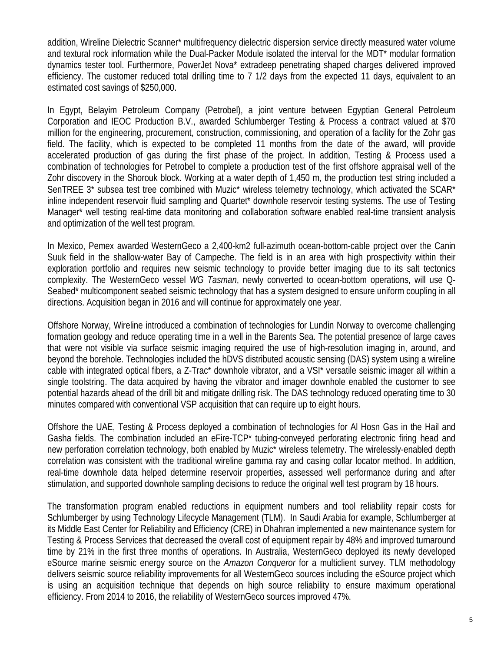addition, Wireline Dielectric Scanner\* multifrequency dielectric dispersion service directly measured water volume and textural rock information while the Dual-Packer Module isolated the interval for the MDT\* modular formation dynamics tester tool. Furthermore, PowerJet Nova\* extradeep penetrating shaped charges delivered improved efficiency. The customer reduced total drilling time to 7 1/2 days from the expected 11 days, equivalent to an estimated cost savings of \$250,000.

In Egypt, Belayim Petroleum Company (Petrobel), a joint venture between Egyptian General Petroleum Corporation and IEOC Production B.V., awarded Schlumberger Testing & Process a contract valued at \$70 million for the engineering, procurement, construction, commissioning, and operation of a facility for the Zohr gas field. The facility, which is expected to be completed 11 months from the date of the award, will provide accelerated production of gas during the first phase of the project. In addition, Testing & Process used a combination of technologies for Petrobel to complete a production test of the first offshore appraisal well of the Zohr discovery in the Shorouk block. Working at a water depth of 1,450 m, the production test string included a SenTREE 3\* subsea test tree combined with Muzic\* wireless telemetry technology, which activated the SCAR\* inline independent reservoir fluid sampling and Quartet\* downhole reservoir testing systems. The use of Testing Manager\* well testing real-time data monitoring and collaboration software enabled real-time transient analysis and optimization of the well test program.

In Mexico, Pemex awarded WesternGeco a 2,400-km2 full-azimuth ocean-bottom-cable project over the Canin Suuk field in the shallow-water Bay of Campeche. The field is in an area with high prospectivity within their exploration portfolio and requires new seismic technology to provide better imaging due to its salt tectonics complexity. The WesternGeco vessel *WG Tasman*, newly converted to ocean-bottom operations, will use Q-Seabed\* multicomponent seabed seismic technology that has a system designed to ensure uniform coupling in all directions. Acquisition began in 2016 and will continue for approximately one year.

Offshore Norway, Wireline introduced a combination of technologies for Lundin Norway to overcome challenging formation geology and reduce operating time in a well in the Barents Sea. The potential presence of large caves that were not visible via surface seismic imaging required the use of high-resolution imaging in, around, and beyond the borehole. Technologies included the hDVS distributed acoustic sensing (DAS) system using a wireline cable with integrated optical fibers, a Z-Trac\* downhole vibrator, and a VSI\* versatile seismic imager all within a single toolstring. The data acquired by having the vibrator and imager downhole enabled the customer to see potential hazards ahead of the drill bit and mitigate drilling risk. The DAS technology reduced operating time to 30 minutes compared with conventional VSP acquisition that can require up to eight hours.

Offshore the UAE, Testing & Process deployed a combination of technologies for Al Hosn Gas in the Hail and Gasha fields. The combination included an eFire-TCP\* tubing-conveyed perforating electronic firing head and new perforation correlation technology, both enabled by Muzic\* wireless telemetry. The wirelessly-enabled depth correlation was consistent with the traditional wireline gamma ray and casing collar locator method. In addition, real-time downhole data helped determine reservoir properties, assessed well performance during and after stimulation, and supported downhole sampling decisions to reduce the original well test program by 18 hours.

The transformation program enabled reductions in equipment numbers and tool reliability repair costs for Schlumberger by using Technology Lifecycle Management (TLM). In Saudi Arabia for example, Schlumberger at its Middle East Center for Reliability and Efficiency (CRE) in Dhahran implemented a new maintenance system for Testing & Process Services that decreased the overall cost of equipment repair by 48% and improved turnaround time by 21% in the first three months of operations. In Australia, WesternGeco deployed its newly developed eSource marine seismic energy source on the *Amazon Conqueror* for a multiclient survey. TLM methodology delivers seismic source reliability improvements for all WesternGeco sources including the eSource project which is using an acquisition technique that depends on high source reliability to ensure maximum operational efficiency. From 2014 to 2016, the reliability of WesternGeco sources improved 47%.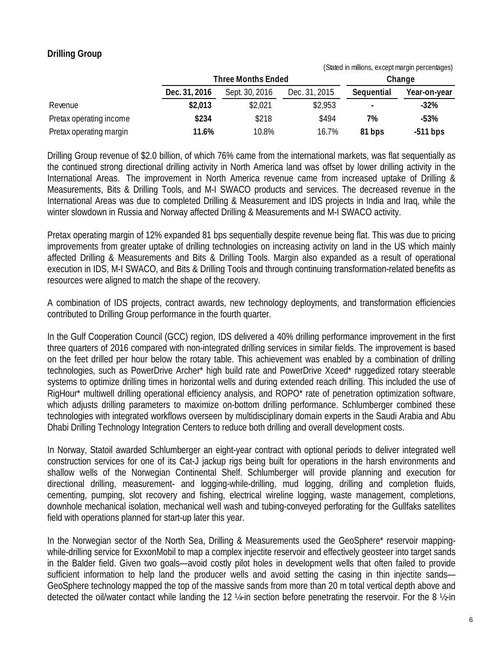#### **Drilling Group**

|                         | (Stated in millions, except margin percentages) |                           |               |            |              |
|-------------------------|-------------------------------------------------|---------------------------|---------------|------------|--------------|
|                         |                                                 | <b>Three Months Ended</b> |               |            | Change       |
|                         | Dec. 31, 2016                                   | Sept. 30, 2016            | Dec. 31, 2015 | Sequential | Year-on-year |
| Revenue                 | \$2,013                                         | \$2,021                   | \$2,953       |            | $-32\%$      |
| Pretax operating income | \$234                                           | \$218                     | \$494         | 7%         | $-53%$       |
| Pretax operating margin | 11.6%                                           | 10.8%                     | 16.7%         | 81 bps     | $-511$ bps   |

Drilling Group revenue of \$2.0 billion, of which 76% came from the international markets, was flat sequentially as the continued strong directional drilling activity in North America land was offset by lower drilling activity in the International Areas. The improvement in North America revenue came from increased uptake of Drilling & Measurements, Bits & Drilling Tools, and M-I SWACO products and services. The decreased revenue in the International Areas was due to completed Drilling & Measurement and IDS projects in India and Iraq, while the winter slowdown in Russia and Norway affected Drilling & Measurements and M-I SWACO activity.

Pretax operating margin of 12% expanded 81 bps sequentially despite revenue being flat. This was due to pricing improvements from greater uptake of drilling technologies on increasing activity on land in the US which mainly affected Drilling & Measurements and Bits & Drilling Tools. Margin also expanded as a result of operational execution in IDS, M-I SWACO, and Bits & Drilling Tools and through continuing transformation-related benefits as resources were aligned to match the shape of the recovery.

A combination of IDS projects, contract awards, new technology deployments, and transformation efficiencies contributed to Drilling Group performance in the fourth quarter.

In the Gulf Cooperation Council (GCC) region, IDS delivered a 40% drilling performance improvement in the first three quarters of 2016 compared with non-integrated drilling services in similar fields. The improvement is based on the feet drilled per hour below the rotary table. This achievement was enabled by a combination of drilling technologies, such as PowerDrive Archer\* high build rate and PowerDrive Xceed\* ruggedized rotary steerable systems to optimize drilling times in horizontal wells and during extended reach drilling. This included the use of RigHour\* multiwell drilling operational efficiency analysis, and ROPO\* rate of penetration optimization software, which adjusts drilling parameters to maximize on-bottom drilling performance. Schlumberger combined these technologies with integrated workflows overseen by multidisciplinary domain experts in the Saudi Arabia and Abu Dhabi Drilling Technology Integration Centers to reduce both drilling and overall development costs.

In Norway, Statoil awarded Schlumberger an eight-year contract with optional periods to deliver integrated well construction services for one of its Cat-J jackup rigs being built for operations in the harsh environments and shallow wells of the Norwegian Continental Shelf. Schlumberger will provide planning and execution for directional drilling, measurement- and logging-while-drilling, mud logging, drilling and completion fluids, cementing, pumping, slot recovery and fishing, electrical wireline logging, waste management, completions, downhole mechanical isolation, mechanical well wash and tubing-conveyed perforating for the Gullfaks satellites field with operations planned for start-up later this year.

In the Norwegian sector of the North Sea, Drilling & Measurements used the GeoSphere\* reservoir mappingwhile-drilling service for ExxonMobil to map a complex injectite reservoir and effectively geosteer into target sands in the Balder field. Given two goals—avoid costly pilot holes in development wells that often failed to provide sufficient information to help land the producer wells and avoid setting the casing in thin injectite sands— GeoSphere technology mapped the top of the massive sands from more than 20 m total vertical depth above and detected the oil/water contact while landing the 12 ¼-in section before penetrating the reservoir. For the 8 ½-in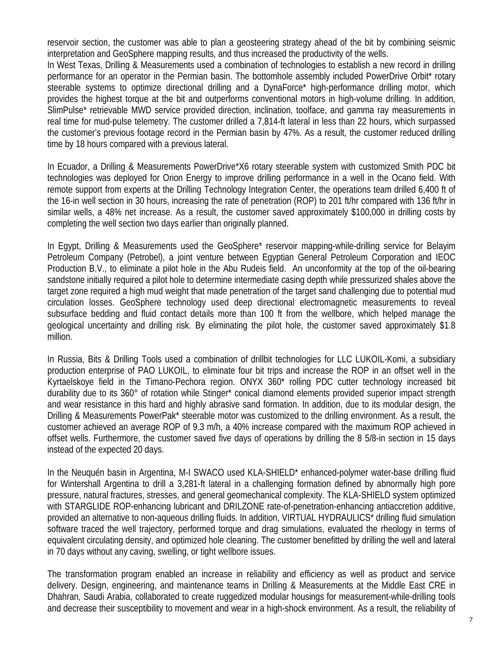reservoir section, the customer was able to plan a geosteering strategy ahead of the bit by combining seismic interpretation and GeoSphere mapping results, and thus increased the productivity of the wells.

In West Texas, Drilling & Measurements used a combination of technologies to establish a new record in drilling performance for an operator in the Permian basin. The bottomhole assembly included PowerDrive Orbit\* rotary steerable systems to optimize directional drilling and a DynaForce\* high-performance drilling motor, which provides the highest torque at the bit and outperforms conventional motors in high-volume drilling. In addition, SlimPulse\* retrievable MWD service provided direction, inclination, toolface, and gamma ray measurements in real time for mud-pulse telemetry. The customer drilled a 7,814-ft lateral in less than 22 hours, which surpassed the customer's previous footage record in the Permian basin by 47%. As a result, the customer reduced drilling time by 18 hours compared with a previous lateral.

In Ecuador, a Drilling & Measurements PowerDrive\*X6 rotary steerable system with customized Smith PDC bit technologies was deployed for Orion Energy to improve drilling performance in a well in the Ocano field. With remote support from experts at the Drilling Technology Integration Center, the operations team drilled 6,400 ft of the 16-in well section in 30 hours, increasing the rate of penetration (ROP) to 201 ft/hr compared with 136 ft/hr in similar wells, a 48% net increase. As a result, the customer saved approximately \$100,000 in drilling costs by completing the well section two days earlier than originally planned.

In Egypt, Drilling & Measurements used the GeoSphere\* reservoir mapping-while-drilling service for Belayim Petroleum Company (Petrobel), a joint venture between Egyptian General Petroleum Corporation and IEOC Production B.V., to eliminate a pilot hole in the Abu Rudeis field. An unconformity at the top of the oil-bearing sandstone initially required a pilot hole to determine intermediate casing depth while pressurized shales above the target zone required a high mud weight that made penetration of the target sand challenging due to potential mud circulation losses. GeoSphere technology used deep directional electromagnetic measurements to reveal subsurface bedding and fluid contact details more than 100 ft from the wellbore, which helped manage the geological uncertainty and drilling risk. By eliminating the pilot hole, the customer saved approximately \$1.8 million.

In Russia, Bits & Drilling Tools used a combination of drillbit technologies for LLC LUKOIL-Komi, a subsidiary production enterprise of PAO LUKOIL, to eliminate four bit trips and increase the ROP in an offset well in the Kyrtaelskoye field in the Timano-Pechora region. ONYX 360\* rolling PDC cutter technology increased bit durability due to its 360° of rotation while Stinger\* conical diamond elements provided superior impact strength and wear resistance in this hard and highly abrasive sand formation. In addition, due to its modular design, the Drilling & Measurements PowerPak\* steerable motor was customized to the drilling environment. As a result, the customer achieved an average ROP of 9.3 m/h, a 40% increase compared with the maximum ROP achieved in offset wells. Furthermore, the customer saved five days of operations by drilling the 8 5/8-in section in 15 days instead of the expected 20 days.

In the Neuquén basin in Argentina, M-I SWACO used KLA-SHIELD\* enhanced-polymer water-base drilling fluid for Wintershall Argentina to drill a 3,281-ft lateral in a challenging formation defined by abnormally high pore pressure, natural fractures, stresses, and general geomechanical complexity. The KLA-SHIELD system optimized with STARGLIDE ROP-enhancing lubricant and DRILZONE rate-of-penetration-enhancing antiaccretion additive, provided an alternative to non-aqueous drilling fluids. In addition, VIRTUAL HYDRAULICS\* drilling fluid simulation software traced the well trajectory, performed torque and drag simulations, evaluated the rheology in terms of equivalent circulating density, and optimized hole cleaning. The customer benefitted by drilling the well and lateral in 70 days without any caving, swelling, or tight wellbore issues.

The transformation program enabled an increase in reliability and efficiency as well as product and service delivery. Design, engineering, and maintenance teams in Drilling & Measurements at the Middle East CRE in Dhahran, Saudi Arabia, collaborated to create ruggedized modular housings for measurement-while-drilling tools and decrease their susceptibility to movement and wear in a high-shock environment. As a result, the reliability of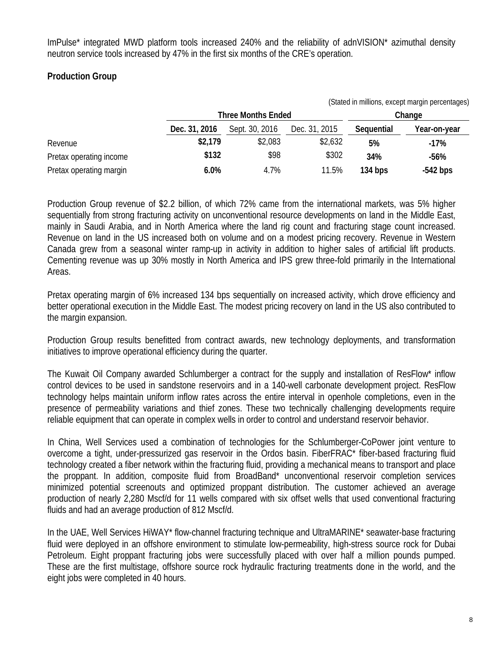ImPulse\* integrated MWD platform tools increased 240% and the reliability of adnVISION\* azimuthal density neutron service tools increased by 47% in the first six months of the CRE's operation.

#### **Production Group**

|                         |               |                           |               |            | (Stated in millions, except margin percentages) |  |  |
|-------------------------|---------------|---------------------------|---------------|------------|-------------------------------------------------|--|--|
|                         |               | <b>Three Months Ended</b> |               |            | Change                                          |  |  |
|                         | Dec. 31, 2016 | Sept. 30, 2016            | Dec. 31, 2015 | Sequential | Year-on-year                                    |  |  |
| Revenue                 | \$2,179       | \$2,083                   | \$2,632       | 5%         | $-17\%$                                         |  |  |
| Pretax operating income | \$132         | \$98                      | \$302         | 34%        | $-56%$                                          |  |  |
| Pretax operating margin | $6.0\%$       | 4.7%                      | 11.5%         | 134 bps    | $-542$ bps                                      |  |  |

Production Group revenue of \$2.2 billion, of which 72% came from the international markets, was 5% higher sequentially from strong fracturing activity on unconventional resource developments on land in the Middle East, mainly in Saudi Arabia, and in North America where the land rig count and fracturing stage count increased. Revenue on land in the US increased both on volume and on a modest pricing recovery. Revenue in Western Canada grew from a seasonal winter ramp-up in activity in addition to higher sales of artificial lift products. Cementing revenue was up 30% mostly in North America and IPS grew three-fold primarily in the International Areas.

Pretax operating margin of 6% increased 134 bps sequentially on increased activity, which drove efficiency and better operational execution in the Middle East. The modest pricing recovery on land in the US also contributed to the margin expansion.

Production Group results benefitted from contract awards, new technology deployments, and transformation initiatives to improve operational efficiency during the quarter.

The Kuwait Oil Company awarded Schlumberger a contract for the supply and installation of ResFlow\* inflow control devices to be used in sandstone reservoirs and in a 140-well carbonate development project. ResFlow technology helps maintain uniform inflow rates across the entire interval in openhole completions, even in the presence of permeability variations and thief zones. These two technically challenging developments require reliable equipment that can operate in complex wells in order to control and understand reservoir behavior.

In China, Well Services used a combination of technologies for the Schlumberger-CoPower joint venture to overcome a tight, under-pressurized gas reservoir in the Ordos basin. FiberFRAC\* fiber-based fracturing fluid technology created a fiber network within the fracturing fluid, providing a mechanical means to transport and place the proppant. In addition, composite fluid from BroadBand\* unconventional reservoir completion services minimized potential screenouts and optimized proppant distribution. The customer achieved an average production of nearly 2,280 Mscf/d for 11 wells compared with six offset wells that used conventional fracturing fluids and had an average production of 812 Mscf/d.

In the UAE, Well Services HiWAY\* flow-channel fracturing technique and UltraMARINE\* seawater-base fracturing fluid were deployed in an offshore environment to stimulate low-permeability, high-stress source rock for Dubai Petroleum. Eight proppant fracturing jobs were successfully placed with over half a million pounds pumped. These are the first multistage, offshore source rock hydraulic fracturing treatments done in the world, and the eight jobs were completed in 40 hours.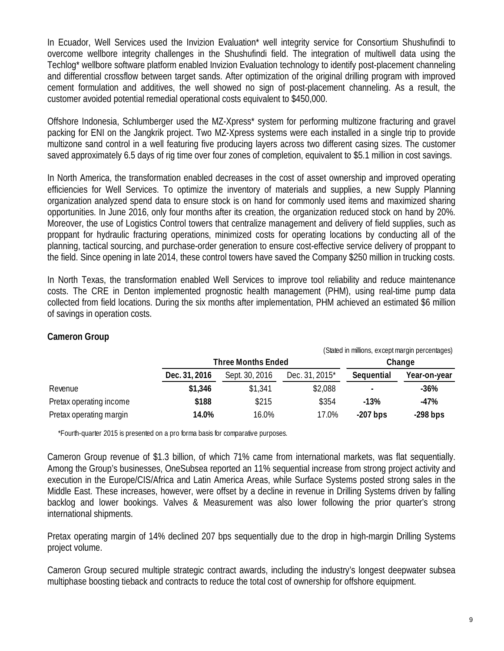In Ecuador, Well Services used the Invizion Evaluation\* well integrity service for Consortium Shushufindi to overcome wellbore integrity challenges in the Shushufindi field. The integration of multiwell data using the Techlog\* wellbore software platform enabled Invizion Evaluation technology to identify post-placement channeling and differential crossflow between target sands. After optimization of the original drilling program with improved cement formulation and additives, the well showed no sign of post-placement channeling. As a result, the customer avoided potential remedial operational costs equivalent to \$450,000.

Offshore Indonesia, Schlumberger used the MZ-Xpress\* system for performing multizone fracturing and gravel packing for ENI on the Jangkrik project. Two MZ-Xpress systems were each installed in a single trip to provide multizone sand control in a well featuring five producing layers across two different casing sizes. The customer saved approximately 6.5 days of rig time over four zones of completion, equivalent to \$5.1 million in cost savings.

In North America, the transformation enabled decreases in the cost of asset ownership and improved operating efficiencies for Well Services. To optimize the inventory of materials and supplies, a new Supply Planning organization analyzed spend data to ensure stock is on hand for commonly used items and maximized sharing opportunities. In June 2016, only four months after its creation, the organization reduced stock on hand by 20%. Moreover, the use of Logistics Control towers that centralize management and delivery of field supplies, such as proppant for hydraulic fracturing operations, minimized costs for operating locations by conducting all of the planning, tactical sourcing, and purchase-order generation to ensure cost-effective service delivery of proppant to the field. Since opening in late 2014, these control towers have saved the Company \$250 million in trucking costs.

In North Texas, the transformation enabled Well Services to improve tool reliability and reduce maintenance costs. The CRE in Denton implemented prognostic health management (PHM), using real-time pump data collected from field locations. During the six months after implementation, PHM achieved an estimated \$6 million of savings in operation costs.

#### **Cameron Group**

|                         | (Stated in millions, except margin percentages) |                           |                |            |              |
|-------------------------|-------------------------------------------------|---------------------------|----------------|------------|--------------|
|                         |                                                 | <b>Three Months Ended</b> |                |            | Change       |
|                         | Dec. 31, 2016                                   | Sept. 30, 2016            | Dec. 31, 2015* | Sequential | Year-on-year |
| Revenue                 | \$1,346                                         | \$1,341                   | \$2,088        | ٠          | $-36%$       |
| Pretax operating income | \$188                                           | \$215                     | \$354          | $-13%$     | -47%         |
| Pretax operating margin | 14.0%                                           | 16.0%                     | 17.0%          | $-207$ bps | $-298$ bps   |

\*Fourth-quarter 2015 is presented on a pro forma basis for comparative purposes.

Cameron Group revenue of \$1.3 billion, of which 71% came from international markets, was flat sequentially. Among the Group's businesses, OneSubsea reported an 11% sequential increase from strong project activity and execution in the Europe/CIS/Africa and Latin America Areas, while Surface Systems posted strong sales in the Middle East. These increases, however, were offset by a decline in revenue in Drilling Systems driven by falling backlog and lower bookings. Valves & Measurement was also lower following the prior quarter's strong international shipments.

Pretax operating margin of 14% declined 207 bps sequentially due to the drop in high-margin Drilling Systems project volume.

Cameron Group secured multiple strategic contract awards, including the industry's longest deepwater subsea multiphase boosting tieback and contracts to reduce the total cost of ownership for offshore equipment.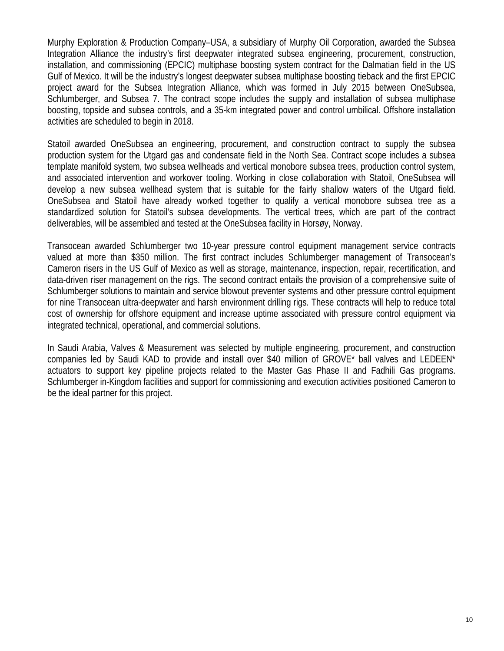Murphy Exploration & Production Company–USA, a subsidiary of Murphy Oil Corporation, awarded the Subsea Integration Alliance the industry's first deepwater integrated subsea engineering, procurement, construction, installation, and commissioning (EPCIC) multiphase boosting system contract for the Dalmatian field in the US Gulf of Mexico. It will be the industry's longest deepwater subsea multiphase boosting tieback and the first EPCIC project award for the Subsea Integration Alliance, which was formed in July 2015 between OneSubsea, Schlumberger, and Subsea 7. The contract scope includes the supply and installation of subsea multiphase boosting, topside and subsea controls, and a 35-km integrated power and control umbilical. Offshore installation activities are scheduled to begin in 2018.

Statoil awarded OneSubsea an engineering, procurement, and construction contract to supply the subsea production system for the Utgard gas and condensate field in the North Sea. Contract scope includes a subsea template manifold system, two subsea wellheads and vertical monobore subsea trees, production control system, and associated intervention and workover tooling. Working in close collaboration with Statoil, OneSubsea will develop a new subsea wellhead system that is suitable for the fairly shallow waters of the Utgard field. OneSubsea and Statoil have already worked together to qualify a vertical monobore subsea tree as a standardized solution for Statoil's subsea developments. The vertical trees, which are part of the contract deliverables, will be assembled and tested at the OneSubsea facility in Horsøy, Norway.

Transocean awarded Schlumberger two 10-year pressure control equipment management service contracts valued at more than \$350 million. The first contract includes Schlumberger management of Transocean's Cameron risers in the US Gulf of Mexico as well as storage, maintenance, inspection, repair, recertification, and data-driven riser management on the rigs. The second contract entails the provision of a comprehensive suite of Schlumberger solutions to maintain and service blowout preventer systems and other pressure control equipment for nine Transocean ultra-deepwater and harsh environment drilling rigs. These contracts will help to reduce total cost of ownership for offshore equipment and increase uptime associated with pressure control equipment via integrated technical, operational, and commercial solutions.

In Saudi Arabia, Valves & Measurement was selected by multiple engineering, procurement, and construction companies led by Saudi KAD to provide and install over \$40 million of GROVE\* ball valves and LEDEEN\* actuators to support key pipeline projects related to the Master Gas Phase II and Fadhili Gas programs. Schlumberger in-Kingdom facilities and support for commissioning and execution activities positioned Cameron to be the ideal partner for this project.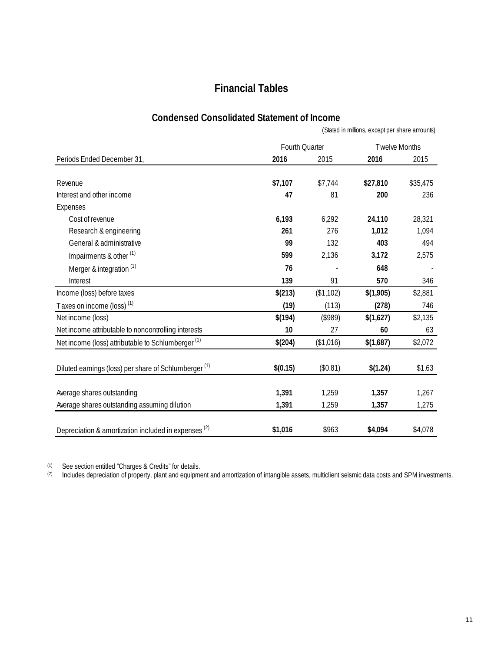# **Financial Tables**

#### **Condensed Consolidated Statement of Income**

|                                                                  |                |           | (Stated in millions, except per share amounts) |          |
|------------------------------------------------------------------|----------------|-----------|------------------------------------------------|----------|
|                                                                  | Fourth Quarter |           | Twelve Months                                  |          |
| Periods Ended December 31,                                       | 2016           | 2015      | 2016                                           | 2015     |
| Revenue                                                          | \$7,107        | \$7,744   | \$27,810                                       | \$35,475 |
| Interest and other income                                        | 47             | 81        | 200                                            | 236      |
| Expenses                                                         |                |           |                                                |          |
| Cost of revenue                                                  | 6,193          | 6,292     | 24,110                                         | 28,321   |
| Research & engineering                                           | 261            | 276       | 1,012                                          | 1,094    |
| General & administrative                                         | 99             | 132       | 403                                            | 494      |
| Impairments & other <sup>(1)</sup>                               | 599            | 2,136     | 3,172                                          | 2,575    |
| Merger & integration <sup>(1)</sup>                              | 76             |           | 648                                            |          |
| Interest                                                         | 139            | 91        | 570                                            | 346      |
| Income (loss) before taxes                                       | \$(213)        | (\$1,102) | \$(1,905)                                      | \$2,881  |
| Taxes on income (loss) <sup>(1)</sup>                            | (19)           | (113)     | (278)                                          | 746      |
| Net income (loss)                                                | \$(194)        | (\$989)   | \$(1,627)                                      | \$2,135  |
| Net income attributable to noncontrolling interests              | 10             | 27        | 60                                             | 63       |
| Net income (loss) attributable to Schlumberger <sup>(1)</sup>    | \$(204)        | (\$1,016) | \$(1,687)                                      | \$2,072  |
| Diluted earnings (loss) per share of Schlumberger <sup>(1)</sup> | \$(0.15)       | (\$0.81)  | \$(1.24)                                       | \$1.63   |
| Average shares outstanding                                       | 1,391          | 1,259     | 1,357                                          | 1,267    |
| Average shares outstanding assuming dilution                     | 1,391          | 1,259     | 1,357                                          | 1,275    |
| Depreciation & amortization included in expenses <sup>(2)</sup>  | \$1,016        | \$963     | \$4,094                                        | \$4,078  |

 $(1)$  See section entitled "Charges & Credits" for details.

 $^{(2)}$  Includes depreciation of property, plant and equipment and amortization of intangible assets, multiclient seismic data costs and SPM investments.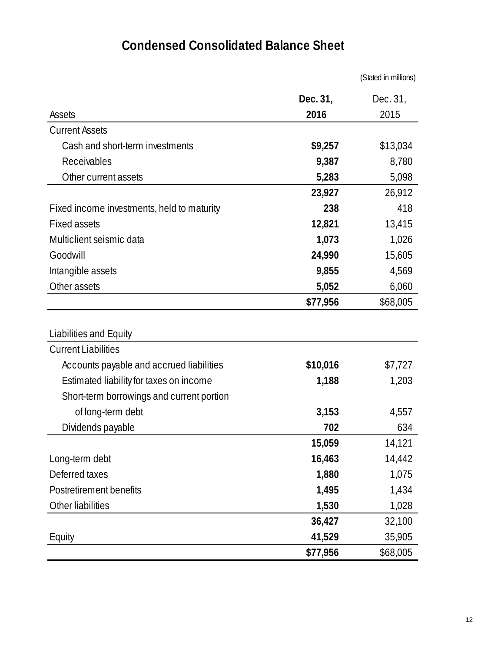# **Condensed Consolidated Balance Sheet**

|                                            |          | (Stated in millions) |
|--------------------------------------------|----------|----------------------|
|                                            | Dec. 31, | Dec. 31,             |
| <b>Assets</b>                              | 2016     | 2015                 |
| <b>Current Assets</b>                      |          |                      |
| Cash and short-term investments            | \$9,257  | \$13,034             |
| Receivables                                | 9,387    | 8,780                |
| Other current assets                       | 5,283    | 5,098                |
|                                            | 23,927   | 26,912               |
| Fixed income investments, held to maturity | 238      | 418                  |
| <b>Fixed assets</b>                        | 12,821   | 13,415               |
| Multiclient seismic data                   | 1,073    | 1,026                |
| Goodwill                                   | 24,990   | 15,605               |
| Intangible assets                          | 9,855    | 4,569                |
| Other assets                               | 5,052    | 6,060                |
|                                            | \$77,956 | \$68,005             |
|                                            |          |                      |
| Liabilities and Equity                     |          |                      |
| <b>Current Liabilities</b>                 |          |                      |
| Accounts payable and accrued liabilities   | \$10,016 | \$7,727              |
| Estimated liability for taxes on income    | 1,188    | 1,203                |
| Short-term borrowings and current portion  |          |                      |
| of long-term debt                          | 3,153    | 4,557                |
| Dividends payable                          | 702      | 634                  |
|                                            | 15,059   | 14,121               |
| Long-term debt                             | 16,463   | 14,442               |
| Deferred taxes                             | 1,880    | 1,075                |
| Postretirement benefits                    | 1,495    | 1,434                |
| Other liabilities                          | 1,530    | 1,028                |
|                                            | 36,427   | 32,100               |
| Equity                                     | 41,529   | 35,905               |
|                                            | \$77,956 | \$68,005             |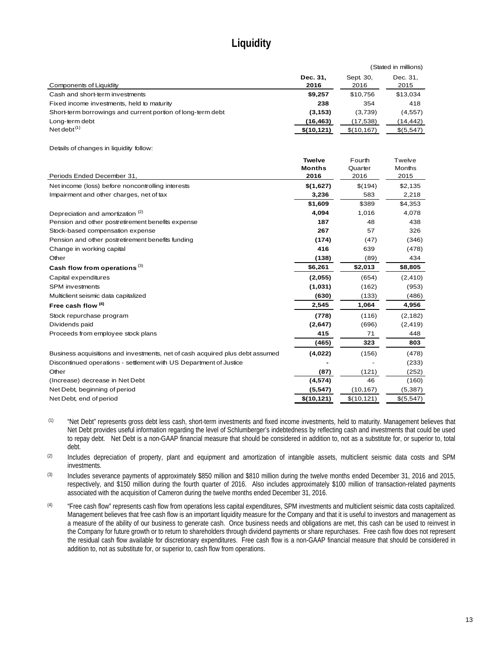# **Liquidity**

|                                                                               |             |             | (Stated in millions) |
|-------------------------------------------------------------------------------|-------------|-------------|----------------------|
|                                                                               | Dec. 31,    | Sept. 30,   | Dec. 31,             |
| Components of Liquidity                                                       | 2016        | 2016        | 2015                 |
| Cash and short-term investments                                               | \$9,257     | \$10,756    | \$13,034             |
| Fixed income investments, held to maturity                                    | 238         | 354         | 418                  |
| Short-term borrowings and current portion of long-term debt                   | (3, 153)    | (3,739)     | (4, 557)             |
| Long-term debt                                                                | (16, 463)   | (17, 538)   | (14, 442)            |
| Net debt $^{(1)}$                                                             | \$(10, 121) | \$(10, 167) | \$(5,547)            |
|                                                                               |             |             |                      |
| Details of changes in liquidity follow:                                       |             |             |                      |
|                                                                               | Twelve      | Fourth      | Twelve               |
|                                                                               | Months      | Quarter     | Months               |
| Periods Ended December 31,                                                    | 2016        | 2016        | 2015                 |
| Net income (loss) before noncontrolling interests                             | \$(1,627)   | \$(194)     | \$2,135              |
| Impairment and other charges, net of tax                                      | 3,236       | 583         | 2,218                |
|                                                                               | \$1.609     | \$389       | \$4,353              |
| Depreciation and amortization <sup>(2)</sup>                                  | 4,094       | 1,016       | 4,078                |
| Pension and other postretirement benefits expense                             | 187         | 48          | 438                  |
| Stock-based compensation expense                                              | 267         | 57          | 326                  |
| Pension and other postretirement benefits funding                             | (174)       | (47)        | (346)                |
| Change in working capital                                                     | 416         | 639         | (478)                |
| Other                                                                         | (138)       | (89)        | 434                  |
| Cash flow from operations <sup>(3)</sup>                                      | \$6,261     | \$2,013     | \$8,805              |
| Capital expenditures                                                          | (2,055)     | (654)       | (2, 410)             |
| <b>SPM</b> investments                                                        | (1,031)     | (162)       | (953)                |
| Multiclient seismic data capitalized                                          | (630)       | (133)       | (486)                |
| Free cash flow <sup>(4)</sup>                                                 | 2,545       | 1,064       | 4,956                |
| Stock repurchase program                                                      | (778)       | (116)       | (2, 182)             |
| Dividends paid                                                                | (2,647)     | (696)       | (2, 419)             |
| Proceeds from employee stock plans                                            | 415         | 71          | 448                  |
|                                                                               | (465)       | 323         | 803                  |
| Business acquisitions and investments, net of cash acquired plus debt assumed | (4,022)     | (156)       | (478)                |
| Discontinued operations - settlement with US Department of Justice            |             |             | (233)                |
| Other                                                                         | (87)        | (121)       | (252)                |
| (Increase) decrease in Net Debt                                               | (4, 574)    | 46          | (160)                |
| Net Debt, beginning of period                                                 | (5, 547)    | (10, 167)   | (5, 387)             |
| Net Debt, end of period                                                       | \$(10, 121) | \$(10, 121) | \$(5,547)            |

(1) "Net Debt" represents gross debt less cash, short-term investments and fixed income investments, held to maturity. Management believes that Net Debt provides useful information regarding the level of Schlumberger's indebtedness by reflecting cash and investments that could be used to repay debt. Net Debt is a non-GAAP financial measure that should be considered in addition to, not as a substitute for, or superior to, total debt.

(2) Includes depreciation of property, plant and equipment and amortization of intangible assets, multiclient seismic data costs and SPM investments.

(3) Includes severance payments of approximately \$850 million and \$810 million during the twelve months ended December 31, 2016 and 2015, respectively, and \$150 million during the fourth quarter of 2016. Also includes approximately \$100 million of transaction-related payments associated with the acquisition of Cameron during the twelve months ended December 31, 2016.

(4) "Free cash flow" represents cash flow from operations less capital expenditures, SPM investments and multiclient seismic data costs capitalized. Management believes that free cash flow is an important liquidity measure for the Company and that it is useful to investors and management as a measure of the ability of our business to generate cash. Once business needs and obligations are met, this cash can be used to reinvest in the Company for future growth or to return to shareholders through dividend payments or share repurchases. Free cash flow does not represent the residual cash flow available for discretionary expenditures. Free cash flow is a non-GAAP financial measure that should be considered in addition to, not as substitute for, or superior to, cash flow from operations.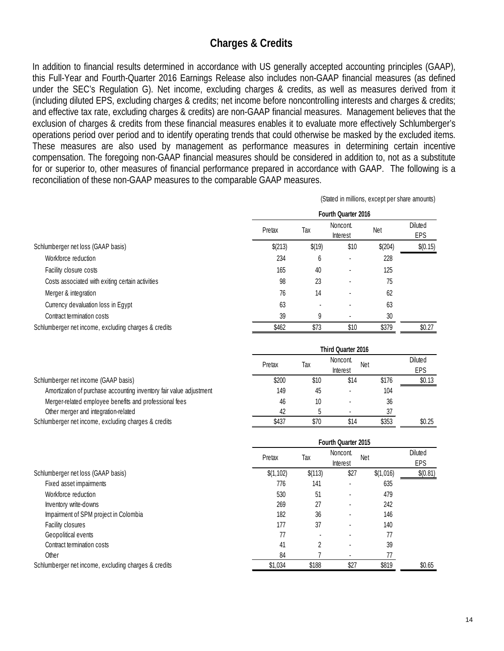### **Charges & Credits**

In addition to financial results determined in accordance with US generally accepted accounting principles (GAAP), this Full-Year and Fourth-Quarter 2016 Earnings Release also includes non-GAAP financial measures (as defined under the SEC's Regulation G). Net income, excluding charges & credits, as well as measures derived from it (including diluted EPS, excluding charges & credits; net income before noncontrolling interests and charges & credits; and effective tax rate, excluding charges & credits) are non-GAAP financial measures. Management believes that the exclusion of charges & credits from these financial measures enables it to evaluate more effectively Schlumberger's operations period over period and to identify operating trends that could otherwise be masked by the excluded items. These measures are also used by management as performance measures in determining certain incentive compensation. The foregoing non-GAAP financial measures should be considered in addition to, not as a substitute for or superior to, other measures of financial performance prepared in accordance with GAAP. The following is a reconciliation of these non-GAAP measures to the comparable GAAP measures.

(Stated in millions, except per share amounts)

|                                                      |         | (Sigien III Hillinoid), except per stigle gritogrits) |                      |            |                       |  |  |
|------------------------------------------------------|---------|-------------------------------------------------------|----------------------|------------|-----------------------|--|--|
|                                                      |         |                                                       | Fourth Quarter 2016  |            |                       |  |  |
|                                                      | Pretax  | Tax                                                   | Noncont.<br>Interest | <b>Net</b> | <b>Diluted</b><br>EPS |  |  |
| Schlumberger net loss (GAAP basis)                   | \$(213) | \$(19)                                                | \$10                 | \$(204)    | \$(0.15)              |  |  |
| Workforce reduction                                  | 234     | 6                                                     |                      | 228        |                       |  |  |
| Facility closure costs                               | 165     | 40                                                    |                      | 125        |                       |  |  |
| Costs associated with exiting certain activities     | 98      | 23                                                    |                      | 75         |                       |  |  |
| Merger & integration                                 | 76      | 14                                                    |                      | 62         |                       |  |  |
| Currency devaluation loss in Egypt                   | 63      |                                                       |                      | 63         |                       |  |  |
| Contract termination costs                           | 39      | 9                                                     |                      | 30         |                       |  |  |
| Schlumberger net income, excluding charges & credits | \$462   | \$73                                                  | \$10                 | \$379      | \$0.27                |  |  |
|                                                      |         |                                                       | Third Quarter 2016   |            |                       |  |  |

|                                                                     | Pretax | Тах  | Noncont.<br>Interest | <b>Net</b> | <b>Diluted</b><br>EPS |
|---------------------------------------------------------------------|--------|------|----------------------|------------|-----------------------|
| Schlumberger net income (GAAP basis)                                | \$200  | \$10 | \$14                 | \$176      | \$0.13                |
| Amortization of purchase accounting inventory fair value adjustment | 149    | 45   |                      | 104        |                       |
| Merger-related employee benefits and professional fees              | 46     | 10   |                      | 36         |                       |
| Other merger and integration-related                                | 42     |      |                      | 37         |                       |
| Schlumberger net income, excluding charges & credits                | \$437  | \$70 | \$14                 | \$353      | \$0.25                |

|                                                      | Fourth Quarter 2015 |         |                      |            |                       |
|------------------------------------------------------|---------------------|---------|----------------------|------------|-----------------------|
|                                                      | Pretax              | Tax     | Noncont.<br>Interest | <b>Net</b> | <b>Diluted</b><br>EPS |
| Schlumberger net loss (GAAP basis)                   | \$(1, 102)          | \$(113) | \$27                 | \$(1,016)  | \$(0.81)              |
| Fixed asset impairments                              | 776                 | 141     |                      | 635        |                       |
| Workforce reduction                                  | 530                 | 51      |                      | 479        |                       |
| Inventory write-downs                                | 269                 | 27      |                      | 242        |                       |
| Impairment of SPM project in Colombia                | 182                 | 36      |                      | 146        |                       |
| Facility closures                                    | 177                 | 37      |                      | 140        |                       |
| Geopolitical events                                  | 77                  |         |                      | 77         |                       |
| Contract termination costs                           | 41                  |         |                      | 39         |                       |
| Other                                                | 84                  |         |                      | 77         |                       |
| Schlumberger net income, excluding charges & credits | \$1,034             | \$188   | \$27                 | \$819      | \$0.65                |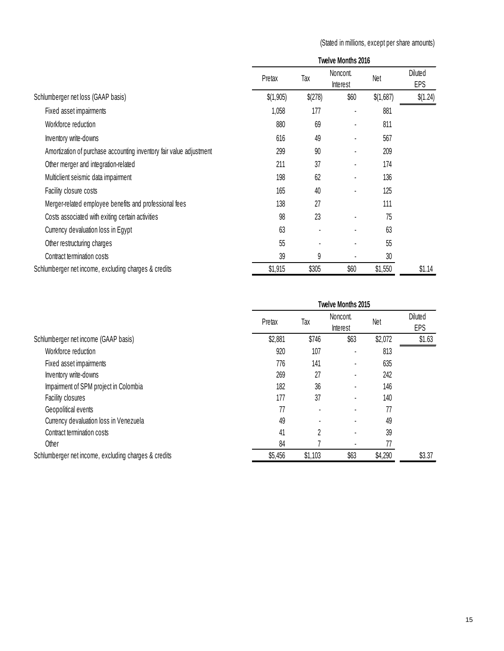(Stated in millions, except per share amounts)

|                                                                     | Twelve Months 2016 |         |                      |           |                       |
|---------------------------------------------------------------------|--------------------|---------|----------------------|-----------|-----------------------|
|                                                                     | Pretax             | Tax     | Noncont.<br>Interest | Net       | <b>Diluted</b><br>EPS |
| Schlumberger net loss (GAAP basis)                                  | \$(1,905)          | \$(278) | \$60                 | \$(1,687) | \$(1.24)              |
| Fixed asset impairments                                             | 1,058              | 177     |                      | 881       |                       |
| Workforce reduction                                                 | 880                | 69      |                      | 811       |                       |
| Inventory write-downs                                               | 616                | 49      |                      | 567       |                       |
| Amortization of purchase accounting inventory fair value adjustment | 299                | 90      |                      | 209       |                       |
| Other merger and integration-related                                | 211                | 37      |                      | 174       |                       |
| Multiclient seismic data impairment                                 | 198                | 62      |                      | 136       |                       |
| Facility closure costs                                              | 165                | 40      |                      | 125       |                       |
| Merger-related employee benefits and professional fees              | 138                | 27      |                      | 111       |                       |
| Costs associated with exiting certain activities                    | 98                 | 23      |                      | 75        |                       |
| Currency devaluation loss in Egypt                                  | 63                 |         |                      | 63        |                       |
| Other restructuring charges                                         | 55                 |         |                      | 55        |                       |
| Contract termination costs                                          | 39                 | 9       |                      | 30        |                       |
| Schlumberger net income, excluding charges & credits                | \$1,915            | \$305   | \$60                 | \$1,550   | \$1.14                |

| Twelve Months 2015 |              |          |         |                |
|--------------------|--------------|----------|---------|----------------|
|                    |              | Noncont. |         | <b>Diluted</b> |
|                    |              | Interest |         | EPS            |
| \$2,881            | \$746        | \$63     | \$2,072 | \$1.63         |
| 920                | 107          |          | 813     |                |
| 776                | 141          |          | 635     |                |
| 269                | 27           |          | 242     |                |
| 182                | 36           |          | 146     |                |
| 177                | 37           |          | 140     |                |
| 77                 |              |          | 77      |                |
| 49                 |              |          | 49      |                |
| 41                 | <sup>2</sup> |          | 39      |                |
| 84                 |              |          | 77      |                |
| \$5,456            | \$1,103      | \$63     | \$4,290 | \$3.37         |
|                    | Pretax       | Tax      |         | <b>Net</b>     |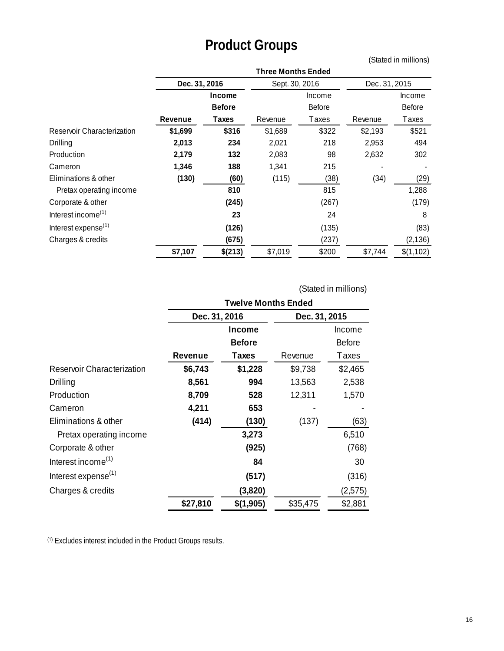# **Product Groups**

(Stated in millions)

|                                 | <b>Three Months Ended</b> |                  |                |               |               |               |
|---------------------------------|---------------------------|------------------|----------------|---------------|---------------|---------------|
|                                 | Dec. 31, 2016             |                  | Sept. 30, 2016 |               | Dec. 31, 2015 |               |
|                                 |                           | Income<br>Income |                |               | Income        |               |
|                                 |                           | <b>Before</b>    |                | <b>Before</b> |               | <b>Before</b> |
|                                 | Revenue                   | Taxes            | Revenue        | Taxes         | Revenue       | Taxes         |
| Reservoir Characterization      | \$1,699                   | \$316            | \$1,689        | \$322         | \$2,193       | \$521         |
| Drilling                        | 2,013                     | 234              | 2,021          | 218           | 2,953         | 494           |
| Production                      | 2,179                     | 132              | 2,083          | 98            | 2,632         | 302           |
| Cameron                         | 1,346                     | 188              | 1,341          | 215           |               |               |
| Eliminations & other            | (130)                     | (60)             | (115)          | (38)          | (34)          | (29)          |
| Pretax operating income         |                           | 810              |                | 815           |               | 1,288         |
| Corporate & other               |                           | (245)            |                | (267)         |               | (179)         |
| Interest income <sup>(1)</sup>  |                           | 23               |                | 24            |               | 8             |
| Interest expense <sup>(1)</sup> |                           | (126)            |                | (135)         |               | (83)          |
| Charges & credits               |                           | (675)            |                | (237)         |               | (2, 136)      |
|                                 | \$7,107                   | \$(213)          | \$7,019        | \$200         | \$7,744       | \$(1,102)     |

(Stated in millions)

|                                 | <b>Twelve Months Ended</b> |               |               |               |
|---------------------------------|----------------------------|---------------|---------------|---------------|
|                                 | Dec. 31, 2016              |               | Dec. 31, 2015 |               |
|                                 |                            | Income        |               | Income        |
|                                 |                            | <b>Before</b> |               | <b>Before</b> |
|                                 | Revenue                    | Taxes         | Revenue       | Taxes         |
| Reservoir Characterization      | \$6,743                    | \$1,228       | \$9,738       | \$2,465       |
| Drilling                        | 8,561                      | 994           | 13,563        | 2,538         |
| Production                      | 8,709                      | 528           | 12,311        | 1,570         |
| Cameron                         | 4,211                      | 653           |               |               |
| Eliminations & other            | (414)                      | (130)         | (137)         | (63)          |
| Pretax operating income         |                            | 3,273         |               | 6,510         |
| Corporate & other               |                            | (925)         |               | (768)         |
| Interest income <sup>(1)</sup>  |                            | 84            |               | 30            |
| Interest expense <sup>(1)</sup> |                            | (517)         |               | (316)         |
| Charges & credits               |                            | (3,820)       |               | (2, 575)      |
|                                 | \$27,810                   | \$(1,905)     | \$35,475      | \$2,881       |

(1) Excludes interest included in the Product Groups results.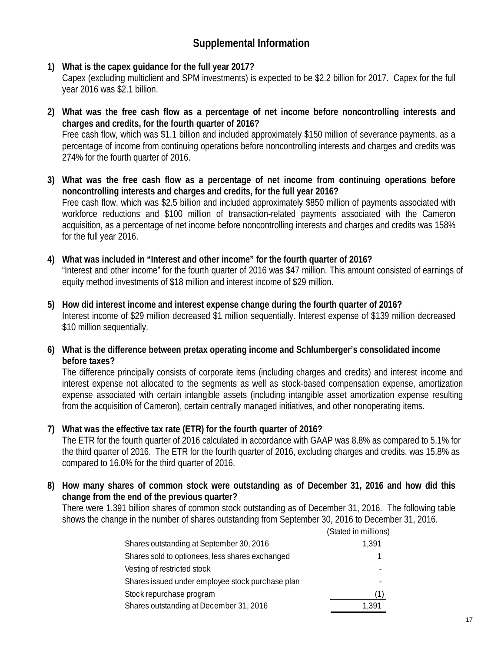# **Supplemental Information**

- **1) What is the capex guidance for the full year 2017?** Capex (excluding multiclient and SPM investments) is expected to be \$2.2 billion for 2017. Capex for the full year 2016 was \$2.1 billion.
- **2) What was the free cash flow as a percentage of net income before noncontrolling interests and charges and credits, for the fourth quarter of 2016?** Free cash flow, which was \$1.1 billion and included approximately \$150 million of severance payments, as a percentage of income from continuing operations before noncontrolling interests and charges and credits was 274% for the fourth quarter of 2016.
- **3) What was the free cash flow as a percentage of net income from continuing operations before noncontrolling interests and charges and credits, for the full year 2016?** Free cash flow, which was \$2.5 billion and included approximately \$850 million of payments associated with workforce reductions and \$100 million of transaction-related payments associated with the Cameron acquisition, as a percentage of net income before noncontrolling interests and charges and credits was 158% for the full year 2016.
- **4) What was included in "Interest and other income" for the fourth quarter of 2016?** "Interest and other income" for the fourth quarter of 2016 was \$47 million. This amount consisted of earnings of equity method investments of \$18 million and interest income of \$29 million.
- **5) How did interest income and interest expense change during the fourth quarter of 2016?** Interest income of \$29 million decreased \$1 million sequentially. Interest expense of \$139 million decreased \$10 million sequentially.
- **6) What is the difference between pretax operating income and Schlumberger's consolidated income before taxes?**

The difference principally consists of corporate items (including charges and credits) and interest income and interest expense not allocated to the segments as well as stock-based compensation expense, amortization expense associated with certain intangible assets (including intangible asset amortization expense resulting from the acquisition of Cameron), certain centrally managed initiatives, and other nonoperating items.

#### **7) What was the effective tax rate (ETR) for the fourth quarter of 2016?**

The ETR for the fourth quarter of 2016 calculated in accordance with GAAP was 8.8% as compared to 5.1% for the third quarter of 2016. The ETR for the fourth quarter of 2016, excluding charges and credits, was 15.8% as compared to 16.0% for the third quarter of 2016.

**8) How many shares of common stock were outstanding as of December 31, 2016 and how did this change from the end of the previous quarter?**

There were 1.391 billion shares of common stock outstanding as of December 31, 2016. The following table shows the change in the number of shares outstanding from September 30, 2016 to December 31, 2016.

|                                                  | (Stated in millions) |
|--------------------------------------------------|----------------------|
| Shares outstanding at September 30, 2016         | 1,391                |
| Shares sold to optionees, less shares exchanged  |                      |
| Vesting of restricted stock                      |                      |
| Shares issued under employee stock purchase plan |                      |
| Stock repurchase program                         |                      |
| Shares outstanding at December 31, 2016          | 1.391                |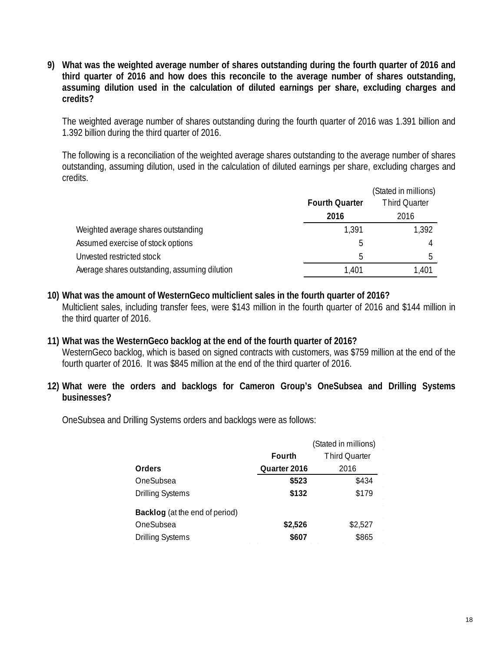**9) What was the weighted average number of shares outstanding during the fourth quarter of 2016 and third quarter of 2016 and how does this reconcile to the average number of shares outstanding, assuming dilution used in the calculation of diluted earnings per share, excluding charges and credits?**

The weighted average number of shares outstanding during the fourth quarter of 2016 was 1.391 billion and 1.392 billion during the third quarter of 2016.

The following is a reconciliation of the weighted average shares outstanding to the average number of shares outstanding, assuming dilution, used in the calculation of diluted earnings per share, excluding charges and credits.

|                                               |                       | (Stated in millions) |
|-----------------------------------------------|-----------------------|----------------------|
|                                               | <b>Fourth Quarter</b> | <b>Third Quarter</b> |
|                                               | 2016                  | 2016                 |
| Weighted average shares outstanding           | 1,391                 | 1,392                |
| Assumed exercise of stock options             | b                     | 4                    |
| Unvested restricted stock                     | 5                     | b                    |
| Average shares outstanding, assuming dilution | 1,401                 | 1,401                |

- **10) What was the amount of WesternGeco multiclient sales in the fourth quarter of 2016?** Multiclient sales, including transfer fees, were \$143 million in the fourth quarter of 2016 and \$144 million in the third quarter of 2016.
- **11) What was the WesternGeco backlog at the end of the fourth quarter of 2016?** WesternGeco backlog, which is based on signed contracts with customers, was \$759 million at the end of the fourth quarter of 2016. It was \$845 million at the end of the third quarter of 2016.
- **12) What were the orders and backlogs for Cameron Group's OneSubsea and Drilling Systems businesses?**

OneSubsea and Drilling Systems orders and backlogs were as follows:

|                                |              | (Stated in millions) |  |  |
|--------------------------------|--------------|----------------------|--|--|
|                                | Fourth       | <b>Third Ouarter</b> |  |  |
| Orders                         | Quarter 2016 | 2016                 |  |  |
| OneSubsea                      | \$523        | \$434                |  |  |
| <b>Drilling Systems</b>        | \$132        | \$179                |  |  |
| Backlog (at the end of period) |              |                      |  |  |
| OneSubsea                      | \$2,526      | \$2,527              |  |  |
| <b>Drilling Systems</b>        | \$607        | \$865                |  |  |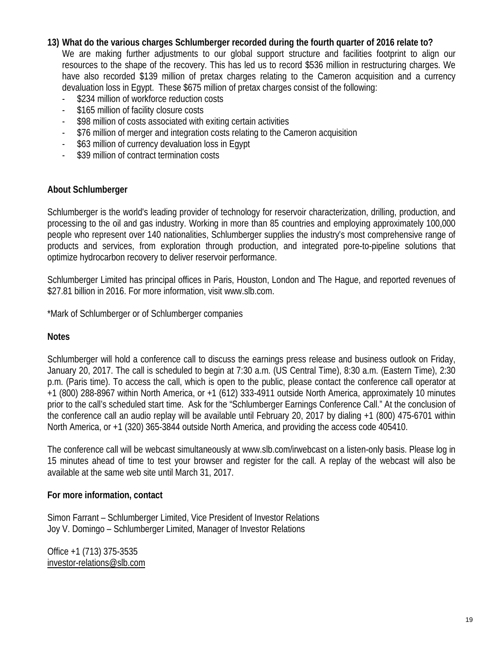#### **13) What do the various charges Schlumberger recorded during the fourth quarter of 2016 relate to?**

We are making further adjustments to our global support structure and facilities footprint to align our resources to the shape of the recovery. This has led us to record \$536 million in restructuring charges. We have also recorded \$139 million of pretax charges relating to the Cameron acquisition and a currency devaluation loss in Egypt. These \$675 million of pretax charges consist of the following:

- \$234 million of workforce reduction costs
- \$165 million of facility closure costs
- \$98 million of costs associated with exiting certain activities
- \$76 million of merger and integration costs relating to the Cameron acquisition
- \$63 million of currency devaluation loss in Egypt
- \$39 million of contract termination costs

#### **About Schlumberger**

Schlumberger is the world's leading provider of technology for reservoir characterization, drilling, production, and processing to the oil and gas industry. Working in more than 85 countries and employing approximately 100,000 people who represent over 140 nationalities, Schlumberger supplies the industry's most comprehensive range of products and services, from exploration through production, and integrated pore-to-pipeline solutions that optimize hydrocarbon recovery to deliver reservoir performance.

Schlumberger Limited has principal offices in Paris, Houston, London and The Hague, and reported revenues of \$27.81 billion in 2016. For more information, visit www.slb.com.

\*Mark of Schlumberger or of Schlumberger companies

#### **Notes**

Schlumberger will hold a conference call to discuss the earnings press release and business outlook on Friday, January 20, 2017. The call is scheduled to begin at 7:30 a.m. (US Central Time), 8:30 a.m. (Eastern Time), 2:30 p.m. (Paris time). To access the call, which is open to the public, please contact the conference call operator at +1 (800) 288-8967 within North America, or +1 (612) 333-4911 outside North America, approximately 10 minutes prior to the call's scheduled start time. Ask for the "Schlumberger Earnings Conference Call." At the conclusion of the conference call an audio replay will be available until February 20, 2017 by dialing +1 (800) 475-6701 within North America, or +1 (320) 365-3844 outside North America, and providing the access code 405410.

The conference call will be webcast simultaneously at www.slb.com/irwebcast on a listen-only basis. Please log in 15 minutes ahead of time to test your browser and register for the call. A replay of the webcast will also be available at the same web site until March 31, 2017.

#### **For more information, contact**

Simon Farrant – Schlumberger Limited, Vice President of Investor Relations Joy V. Domingo – Schlumberger Limited, Manager of Investor Relations

Office +1 (713) 375-3535 [investor-relations@slb.com](mailto:investor-relations@slb.com)